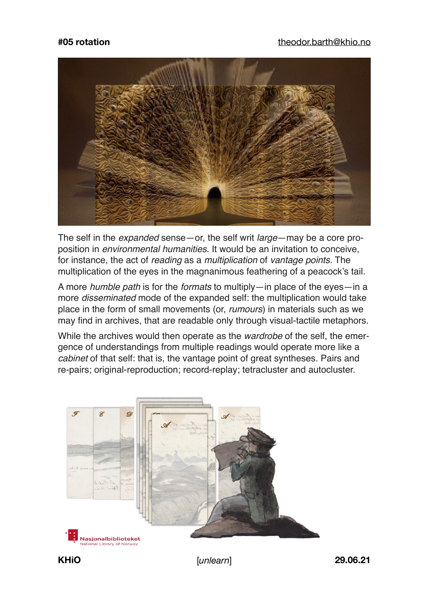

The self in the *expanded* sense—or, the self writ *large*—may be a core proposition in *environmental humanities*. It would be an invitation to conceive, for instance, the act of *reading* as a *multiplication* of *vantage points*. The multiplication of the eyes in the magnanimous feathering of a peacock's tail.

A more *humble path* is for the *formats* to multiply—in place of the eyes—in a more *disseminated* mode of the expanded self: the multiplication would take place in the form of small movements (or, *rumours*) in materials such as we may find in archives, that are readable only through visual-tactile metaphors.

While the archives would then operate as the *wardrobe* of the self, the emergence of understandings from multiple readings would operate more like a *cabinet* of that self: that is, the vantage point of great syntheses. Pairs and re-pairs; original-reproduction; record-replay; tetracluster and autocluster.